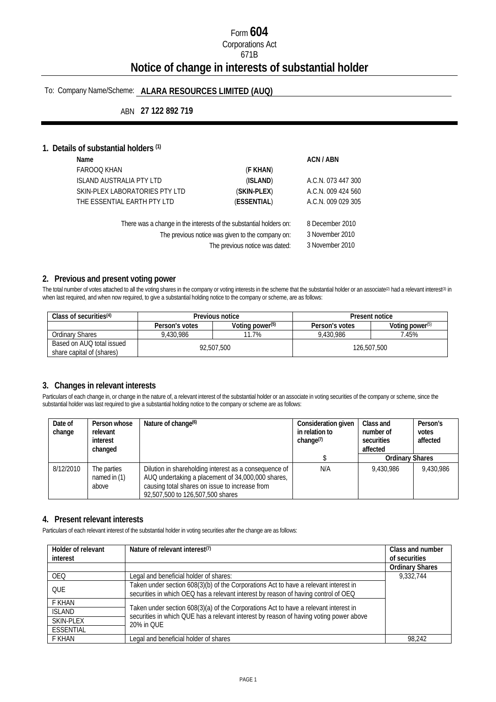# Form **604** Corporations Act 671B **Notice of change in interests of substantial holder**

# To: Company Name/Scheme: **ALARA RESOURCES LIMITED (AUQ)**

## ABN **27 122 892 719**

#### **1. Details of substantial holders (1)**

| Name                            |                                                                    | ACN / ABN          |
|---------------------------------|--------------------------------------------------------------------|--------------------|
| <b>FAROOQ KHAN</b>              | (F KHAN)                                                           |                    |
| <b>ISLAND AUSTRALIA PTY LTD</b> | (ISLAND)                                                           | A.C.N. 073 447 300 |
| SKIN-PLEX LABORATORIES PTY LTD  | (SKIN-PLEX)                                                        | A.C.N. 009 424 560 |
| THE ESSENTIAL EARTH PTY LTD     | (ESSENTIAL)                                                        | A.C.N. 009 029 305 |
|                                 | There was a change in the interests of the substantial holders on: | 8 December 2010    |
|                                 | The previous notice was given to the company on:                   | 3 November 2010    |

The previous notice was dated: 3 November 2010

#### **2. Previous and present voting power**

The total number of votes attached to all the voting shares in the company or voting interests in the scheme that the substantial holder or an associate<sup>(2)</sup> had a relevant interest(3) in when last required, and when now required, to give a substantial holding notice to the company or scheme, are as follows:

| Class of securities <sup>(4)</sup>                     | Previous notice |                             | Present notice |                             |
|--------------------------------------------------------|-----------------|-----------------------------|----------------|-----------------------------|
|                                                        | Person's votes  | Voting power <sup>(5)</sup> | Person's votes | Voting power <sup>(5)</sup> |
| Ordinarv Shares                                        | 9.430.986       | 11.7%                       | 9.430.986      | 7.45%                       |
| Based on AUQ total issued<br>share capital of (shares) | 92.507.500      |                             | 126,507,500    |                             |

#### **3. Changes in relevant interests**

Particulars of each change in, or change in the nature of, a relevant interest of the substantial holder or an associate in voting securities of the company or scheme, since the substantial holder was last required to give a substantial holding notice to the company or scheme are as follows:

| Date of<br>change | Person whose<br>relevant<br>interest<br>changed | Nature of change <sup>(6)</sup>                                                                                                                                                                  | Consideration given<br>in relation to<br>change $(7)$ | Class and<br>number of<br>securities<br>affected | Person's<br>votes<br>affected |
|-------------------|-------------------------------------------------|--------------------------------------------------------------------------------------------------------------------------------------------------------------------------------------------------|-------------------------------------------------------|--------------------------------------------------|-------------------------------|
|                   |                                                 |                                                                                                                                                                                                  |                                                       | <b>Ordinary Shares</b>                           |                               |
| 8/12/2010         | The parties<br>named in $(1)$<br>above          | Dilution in shareholding interest as a consequence of<br>AUQ undertaking a placement of 34,000,000 shares,<br>causing total shares on issue to increase from<br>92,507,500 to 126,507,500 shares | N/A                                                   | 9.430.986                                        | 9.430.986                     |

#### **4. Present relevant interests**

Particulars of each relevant interest of the substantial holder in voting securities after the change are as follows:

| Holder of relevant<br>interest | Nature of relevant interest <sup>(7)</sup>                                                                                                                                     | Class and number<br>of securities |
|--------------------------------|--------------------------------------------------------------------------------------------------------------------------------------------------------------------------------|-----------------------------------|
|                                |                                                                                                                                                                                | <b>Ordinary Shares</b>            |
| <b>OEO</b>                     | Legal and beneficial holder of shares:                                                                                                                                         | 9.332.744                         |
| <b>OUE</b>                     | Taken under section 608(3)(b) of the Corporations Act to have a relevant interest in<br>securities in which OEQ has a relevant interest by reason of having control of OEQ     |                                   |
| F KHAN                         |                                                                                                                                                                                |                                   |
| <b>ISLAND</b>                  | Taken under section 608(3)(a) of the Corporations Act to have a relevant interest in<br>securities in which QUE has a relevant interest by reason of having voting power above |                                   |
| SKIN-PLEX                      | 20% in OUE                                                                                                                                                                     |                                   |
| ESSENTIAL                      |                                                                                                                                                                                |                                   |
| F KHAN                         | Legal and beneficial holder of shares                                                                                                                                          | 98.242                            |